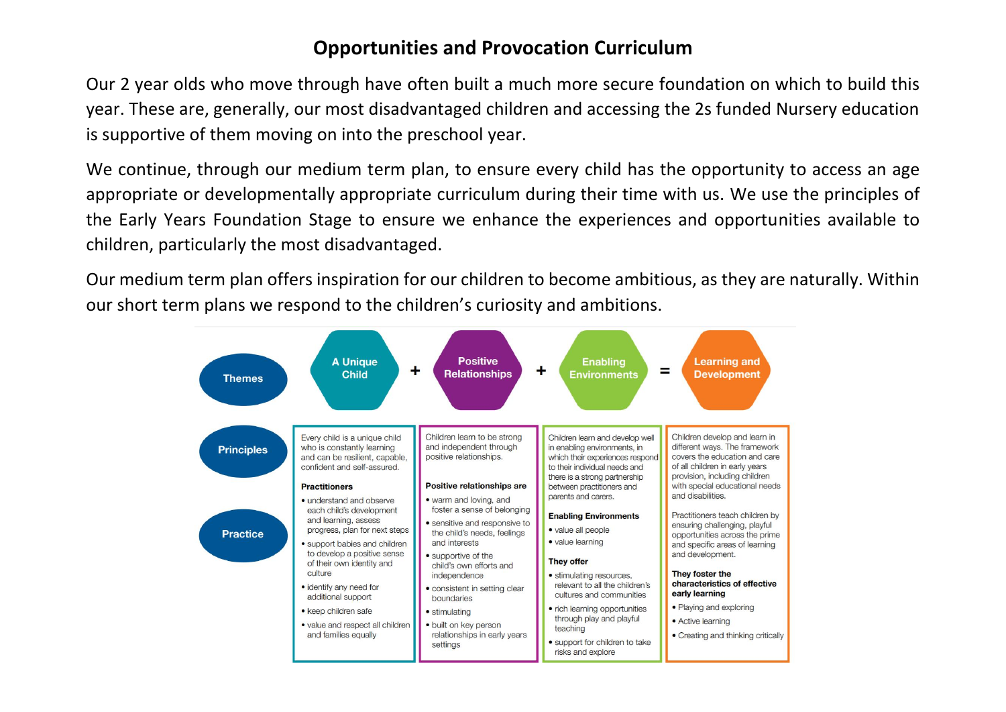## **Opportunities and Provocation Curriculum**

Our 2 year olds who move through have often built a much more secure foundation on which to build this year. These are, generally, our most disadvantaged children and accessing the 2s funded Nursery education is supportive of them moving on into the preschool year.

We continue, through our medium term plan, to ensure every child has the opportunity to access an age appropriate or developmentally appropriate curriculum during their time with us. We use the principles of the Early Years Foundation Stage to ensure we enhance the experiences and opportunities available to children, particularly the most disadvantaged.

Our medium term plan offers inspiration for our children to become ambitious, as they are naturally. Within our short term plans we respond to the children's curiosity and ambitions.

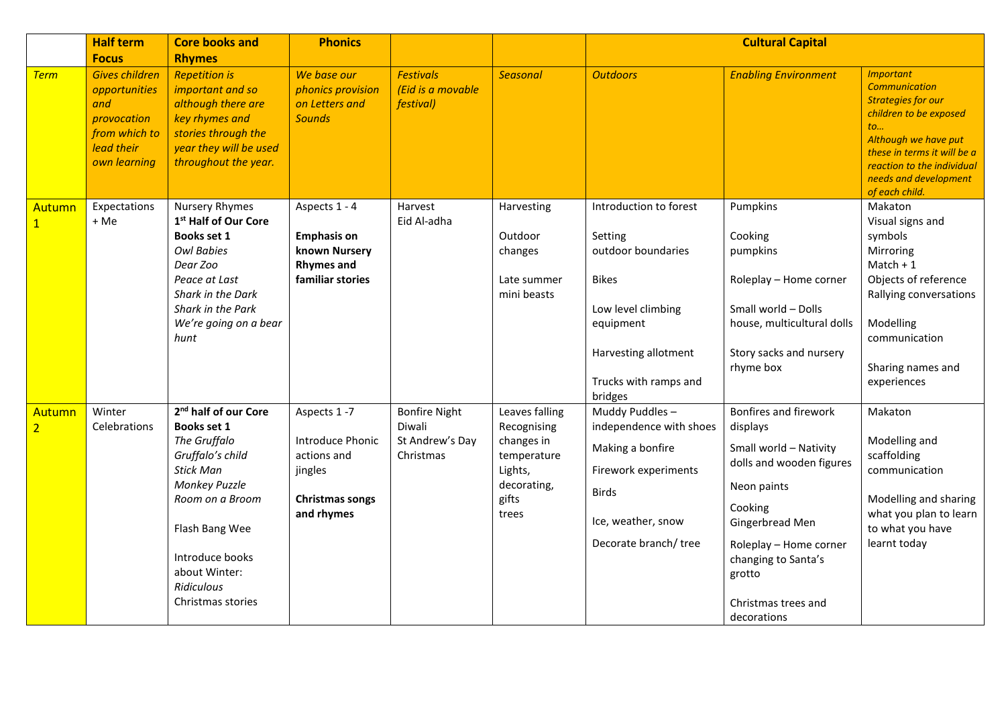|                          | <b>Half term</b><br><b>Focus</b>                                                                            | <b>Core books and</b><br><b>Rhymes</b>                                                                                                                                                                                                      | <b>Phonics</b>                                                                                           |                                                            |                                                                                                        |                                                                                                                                                                        | <b>Cultural Capital</b>                                                                                                                                                                                                               |                                                                                                                                                                                                                                       |
|--------------------------|-------------------------------------------------------------------------------------------------------------|---------------------------------------------------------------------------------------------------------------------------------------------------------------------------------------------------------------------------------------------|----------------------------------------------------------------------------------------------------------|------------------------------------------------------------|--------------------------------------------------------------------------------------------------------|------------------------------------------------------------------------------------------------------------------------------------------------------------------------|---------------------------------------------------------------------------------------------------------------------------------------------------------------------------------------------------------------------------------------|---------------------------------------------------------------------------------------------------------------------------------------------------------------------------------------------------------------------------------------|
| <b>Term</b>              | <b>Gives children</b><br>opportunities<br>and<br>provocation<br>from which to<br>lead their<br>own learning | <b>Repetition is</b><br>important and so<br>although there are<br>key rhymes and<br>stories through the<br>year they will be used<br>throughout the year.                                                                                   | We base our<br>phonics provision<br>on Letters and<br><b>Sounds</b>                                      | <b>Festivals</b><br>(Eid is a movable<br><i>festival</i> ) | <b>Seasonal</b>                                                                                        | <b>Outdoors</b>                                                                                                                                                        | <b>Enabling Environment</b>                                                                                                                                                                                                           | <b>Important</b><br><b>Communication</b><br><b>Strategies for our</b><br>children to be exposed<br>to<br>Although we have put<br>these in terms it will be a<br>reaction to the individual<br>needs and development<br>of each child. |
| Autumn                   | Expectations<br>+ Me                                                                                        | Nursery Rhymes<br>1 <sup>st</sup> Half of Our Core<br>Books set 1<br><b>Owl Babies</b><br>Dear Zoo<br>Peace at Last<br>Shark in the Dark<br>Shark in the Park<br>We're going on a bear<br>hunt                                              | Aspects 1 - 4<br><b>Emphasis on</b><br>known Nursery<br><b>Rhymes and</b><br>familiar stories            | Harvest<br>Eid Al-adha                                     | Harvesting<br>Outdoor<br>changes<br>Late summer<br>mini beasts                                         | Introduction to forest<br>Setting<br>outdoor boundaries<br><b>Bikes</b><br>Low level climbing<br>equipment<br>Harvesting allotment<br>Trucks with ramps and<br>bridges | Pumpkins<br>Cooking<br>pumpkins<br>Roleplay - Home corner<br>Small world - Dolls<br>house, multicultural dolls<br>Story sacks and nursery<br>rhyme box                                                                                | Makaton<br>Visual signs and<br>symbols<br>Mirroring<br>$Match + 1$<br>Objects of reference<br>Rallying conversations<br>Modelling<br>communication<br>Sharing names and<br>experiences                                                |
| Autumn<br>$\overline{2}$ | Winter<br>Celebrations                                                                                      | 2 <sup>nd</sup> half of our Core<br>Books set 1<br>The Gruffalo<br>Gruffalo's child<br><b>Stick Man</b><br><b>Monkey Puzzle</b><br>Room on a Broom<br>Flash Bang Wee<br>Introduce books<br>about Winter:<br>Ridiculous<br>Christmas stories | Aspects 1-7<br><b>Introduce Phonic</b><br>actions and<br>jingles<br><b>Christmas songs</b><br>and rhymes | Bonfire Night<br>Diwali<br>St Andrew's Day<br>Christmas    | Leaves falling<br>Recognising<br>changes in<br>temperature<br>Lights,<br>decorating,<br>gifts<br>trees | Muddy Puddles-<br>independence with shoes<br>Making a bonfire<br>Firework experiments<br><b>Birds</b><br>Ice, weather, snow<br>Decorate branch/tree                    | Bonfires and firework<br>displays<br>Small world - Nativity<br>dolls and wooden figures<br>Neon paints<br>Cooking<br>Gingerbread Men<br>Roleplay - Home corner<br>changing to Santa's<br>grotto<br>Christmas trees and<br>decorations | Makaton<br>Modelling and<br>scaffolding<br>communication<br>Modelling and sharing<br>what you plan to learn<br>to what you have<br>learnt today                                                                                       |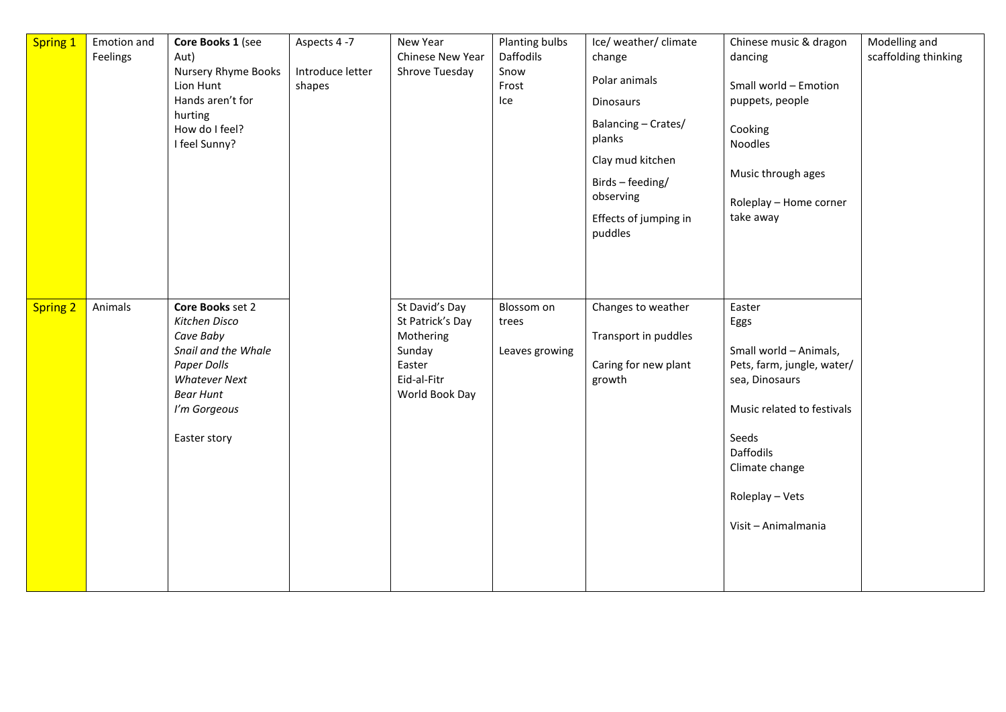| <b>Spring 1</b> | Emotion and<br>Feelings | Core Books 1 (see<br>Aut)<br>Nursery Rhyme Books<br>Lion Hunt<br>Hands aren't for<br>hurting<br>How do I feel?<br>I feel Sunny?                                  | Aspects 4-7<br>Introduce letter<br>shapes | New Year<br>Chinese New Year<br>Shrove Tuesday                                                       | Planting bulbs<br>Daffodils<br>Snow<br>Frost<br>Ice | Ice/ weather/ climate<br>change<br>Polar animals<br>Dinosaurs<br>Balancing - Crates/<br>planks<br>Clay mud kitchen<br>Birds - feeding/<br>observing<br>Effects of jumping in<br>puddles | Chinese music & dragon<br>dancing<br>Small world - Emotion<br>puppets, people<br>Cooking<br>Noodles<br>Music through ages<br>Roleplay - Home corner<br>take away                                         | Modelling and<br>scaffolding thinking |
|-----------------|-------------------------|------------------------------------------------------------------------------------------------------------------------------------------------------------------|-------------------------------------------|------------------------------------------------------------------------------------------------------|-----------------------------------------------------|-----------------------------------------------------------------------------------------------------------------------------------------------------------------------------------------|----------------------------------------------------------------------------------------------------------------------------------------------------------------------------------------------------------|---------------------------------------|
| <b>Spring 2</b> | Animals                 | Core Books set 2<br>Kitchen Disco<br>Cave Baby<br>Snail and the Whale<br>Paper Dolls<br><b>Whatever Next</b><br><b>Bear Hunt</b><br>I'm Gorgeous<br>Easter story |                                           | St David's Day<br>St Patrick's Day<br>Mothering<br>Sunday<br>Easter<br>Eid-al-Fitr<br>World Book Day | Blossom on<br>trees<br>Leaves growing               | Changes to weather<br>Transport in puddles<br>Caring for new plant<br>growth                                                                                                            | Easter<br>Eggs<br>Small world - Animals,<br>Pets, farm, jungle, water/<br>sea, Dinosaurs<br>Music related to festivals<br>Seeds<br>Daffodils<br>Climate change<br>Roleplay - Vets<br>Visit - Animalmania |                                       |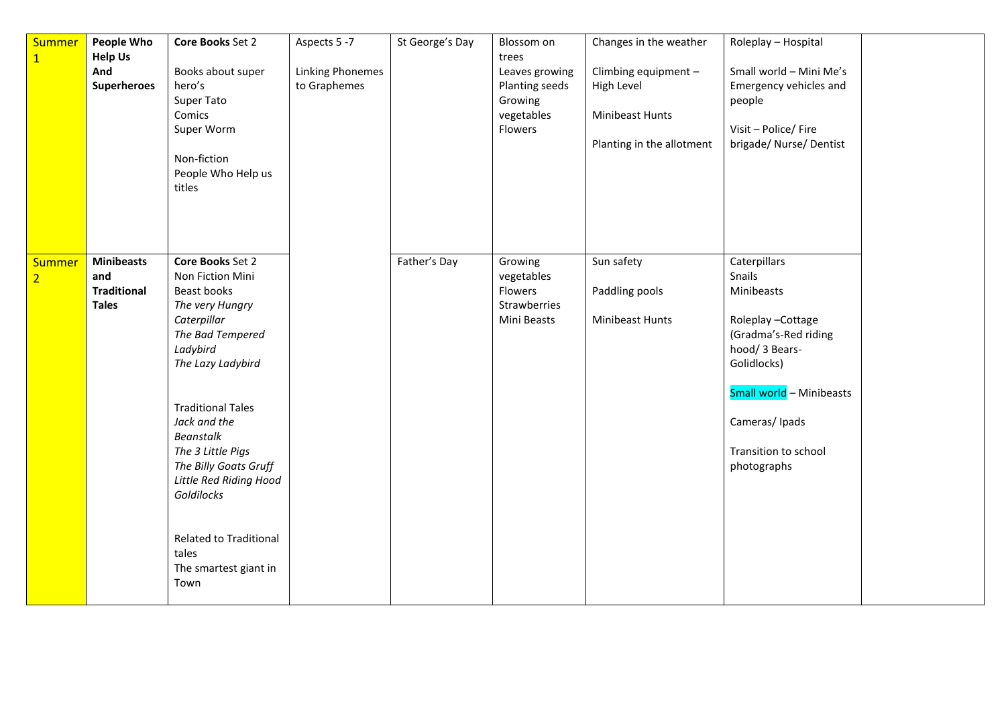| Summer<br>$\overline{1}$ | People Who<br><b>Help Us</b><br>And<br><b>Superheroes</b>      | Core Books Set 2<br>Books about super<br>hero's<br>Super Tato<br>Comics<br>Super Worm<br>Non-fiction<br>People Who Help us<br>titles                                                                                                                                                                                                                                        | Aspects 5 -7<br><b>Linking Phonemes</b><br>to Graphemes | St George's Day | Blossom on<br>trees<br>Leaves growing<br>Planting seeds<br>Growing<br>vegetables<br>Flowers | Changes in the weather<br>Climbing equipment -<br>High Level<br>Minibeast Hunts<br>Planting in the allotment | Roleplay - Hospital<br>Small world - Mini Me's<br>Emergency vehicles and<br>people<br>Visit - Police/ Fire<br>brigade/ Nurse/ Dentist                                                                 |  |
|--------------------------|----------------------------------------------------------------|-----------------------------------------------------------------------------------------------------------------------------------------------------------------------------------------------------------------------------------------------------------------------------------------------------------------------------------------------------------------------------|---------------------------------------------------------|-----------------|---------------------------------------------------------------------------------------------|--------------------------------------------------------------------------------------------------------------|-------------------------------------------------------------------------------------------------------------------------------------------------------------------------------------------------------|--|
| Summer<br>$\overline{2}$ | <b>Minibeasts</b><br>and<br><b>Traditional</b><br><b>Tales</b> | <b>Core Books Set 2</b><br>Non Fiction Mini<br>Beast books<br>The very Hungry<br>Caterpillar<br>The Bad Tempered<br>Ladybird<br>The Lazy Ladybird<br><b>Traditional Tales</b><br>Jack and the<br>Beanstalk<br>The 3 Little Pigs<br>The Billy Goats Gruff<br>Little Red Riding Hood<br>Goldilocks<br><b>Related to Traditional</b><br>tales<br>The smartest giant in<br>Town |                                                         | Father's Day    | Growing<br>vegetables<br>Flowers<br>Strawberries<br>Mini Beasts                             | Sun safety<br>Paddling pools<br>Minibeast Hunts                                                              | Caterpillars<br>Snails<br>Minibeasts<br>Roleplay-Cottage<br>(Gradma's-Red riding<br>hood/ 3 Bears-<br>Golidlocks)<br>Small world - Minibeasts<br>Cameras/Ipads<br>Transition to school<br>photographs |  |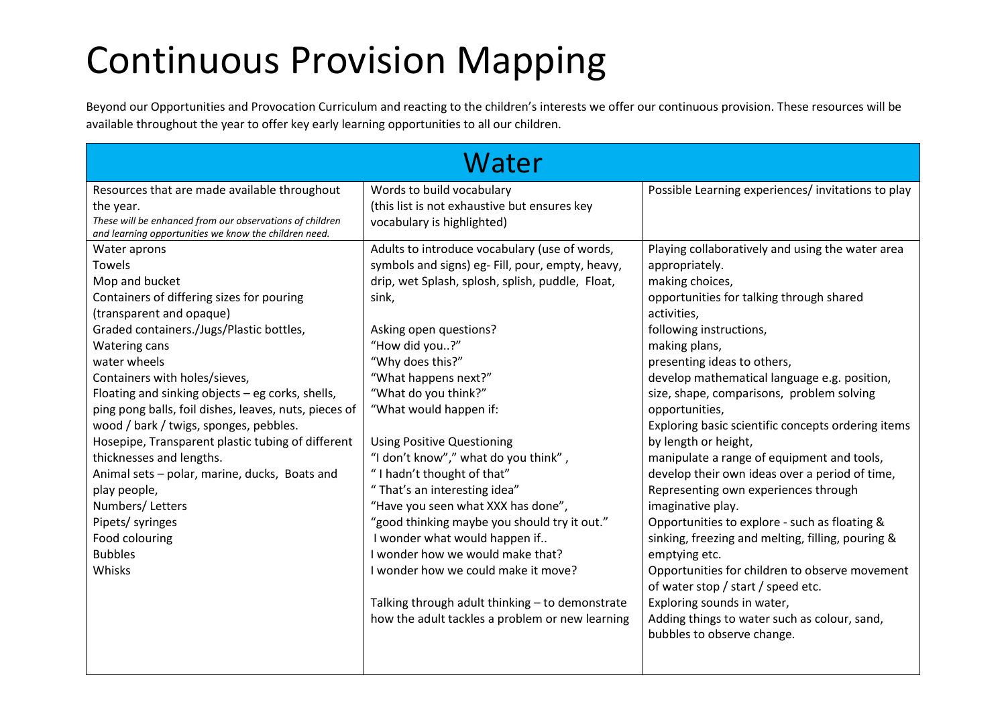## Continuous Provision Mapping

Beyond our Opportunities and Provocation Curriculum and reacting to the children's interests we offer our continuous provision. These resources will be available throughout the year to offer key early learning opportunities to all our children.

|                                                                                                                                                                                                                                                                                                                                                                                                                                                                                                                                                                                                                                      | Water                                                                                                                                                                                                                                                                                                                                                                                                                                                                                                                                                                                                                                                                                                                                                       |                                                                                                                                                                                                                                                                                                                                                                                                                                                                                                                                                                                                                                                                                                                                                                                                                                                                                                                  |
|--------------------------------------------------------------------------------------------------------------------------------------------------------------------------------------------------------------------------------------------------------------------------------------------------------------------------------------------------------------------------------------------------------------------------------------------------------------------------------------------------------------------------------------------------------------------------------------------------------------------------------------|-------------------------------------------------------------------------------------------------------------------------------------------------------------------------------------------------------------------------------------------------------------------------------------------------------------------------------------------------------------------------------------------------------------------------------------------------------------------------------------------------------------------------------------------------------------------------------------------------------------------------------------------------------------------------------------------------------------------------------------------------------------|------------------------------------------------------------------------------------------------------------------------------------------------------------------------------------------------------------------------------------------------------------------------------------------------------------------------------------------------------------------------------------------------------------------------------------------------------------------------------------------------------------------------------------------------------------------------------------------------------------------------------------------------------------------------------------------------------------------------------------------------------------------------------------------------------------------------------------------------------------------------------------------------------------------|
| Resources that are made available throughout<br>the year.<br>These will be enhanced from our observations of children<br>and learning opportunities we know the children need.                                                                                                                                                                                                                                                                                                                                                                                                                                                       | Words to build vocabulary<br>(this list is not exhaustive but ensures key<br>vocabulary is highlighted)                                                                                                                                                                                                                                                                                                                                                                                                                                                                                                                                                                                                                                                     | Possible Learning experiences/invitations to play                                                                                                                                                                                                                                                                                                                                                                                                                                                                                                                                                                                                                                                                                                                                                                                                                                                                |
| Water aprons<br>Towels<br>Mop and bucket<br>Containers of differing sizes for pouring<br>(transparent and opaque)<br>Graded containers./Jugs/Plastic bottles,<br><b>Watering cans</b><br>water wheels<br>Containers with holes/sieves,<br>Floating and sinking objects - eg corks, shells,<br>ping pong balls, foil dishes, leaves, nuts, pieces of<br>wood / bark / twigs, sponges, pebbles.<br>Hosepipe, Transparent plastic tubing of different<br>thicknesses and lengths.<br>Animal sets - polar, marine, ducks, Boats and<br>play people,<br>Numbers/Letters<br>Pipets/ syringes<br>Food colouring<br><b>Bubbles</b><br>Whisks | Adults to introduce vocabulary (use of words,<br>symbols and signs) eg- Fill, pour, empty, heavy,<br>drip, wet Splash, splosh, splish, puddle, Float,<br>sink,<br>Asking open questions?<br>"How did you?"<br>"Why does this?"<br>"What happens next?"<br>"What do you think?"<br>"What would happen if:<br><b>Using Positive Questioning</b><br>"I don't know"," what do you think",<br>"I hadn't thought of that"<br>"That's an interesting idea"<br>"Have you seen what XXX has done",<br>"good thinking maybe you should try it out."<br>I wonder what would happen if<br>I wonder how we would make that?<br>I wonder how we could make it move?<br>Talking through adult thinking - to demonstrate<br>how the adult tackles a problem or new learning | Playing collaboratively and using the water area<br>appropriately.<br>making choices,<br>opportunities for talking through shared<br>activities,<br>following instructions,<br>making plans,<br>presenting ideas to others,<br>develop mathematical language e.g. position,<br>size, shape, comparisons, problem solving<br>opportunities,<br>Exploring basic scientific concepts ordering items<br>by length or height,<br>manipulate a range of equipment and tools,<br>develop their own ideas over a period of time,<br>Representing own experiences through<br>imaginative play.<br>Opportunities to explore - such as floating &<br>sinking, freezing and melting, filling, pouring &<br>emptying etc.<br>Opportunities for children to observe movement<br>of water stop / start / speed etc.<br>Exploring sounds in water,<br>Adding things to water such as colour, sand,<br>bubbles to observe change. |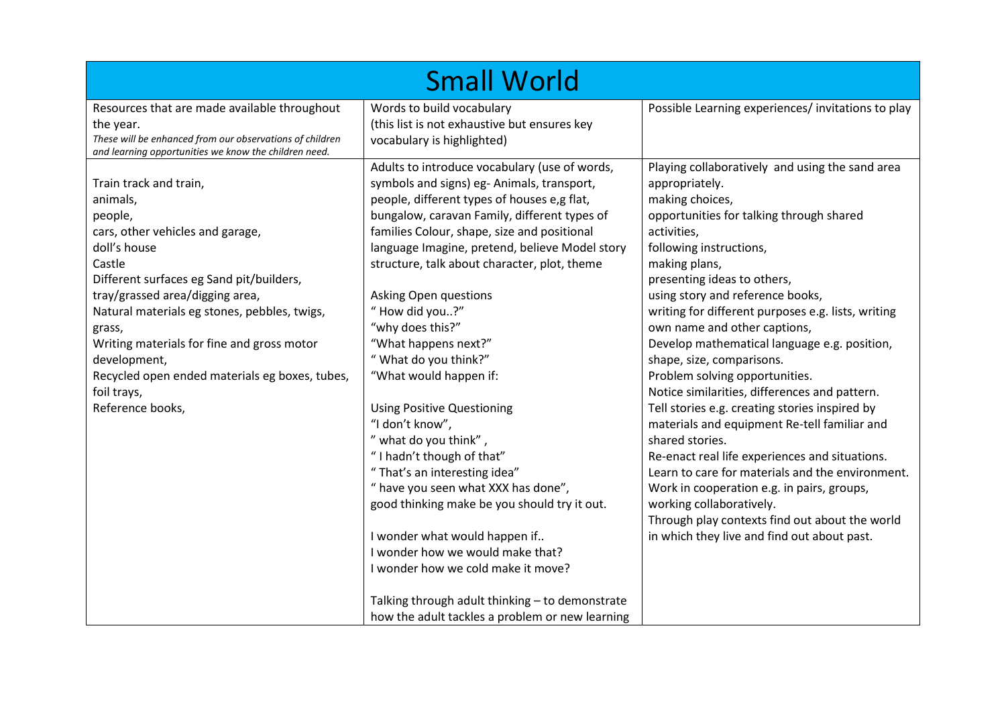|                                                                                                                                                                                                                                                                                                                                                                                                         | <b>Small World</b>                                                                                                                                                                                                                                                                                                                                                                                                                                                                                                                                                                                                                                                                                                                                                                                                                                                                     |                                                                                                                                                                                                                                                                                                                                                                                                                                                                                                                                                                                                                                                                                                                                                                                                                                                                                                                            |
|---------------------------------------------------------------------------------------------------------------------------------------------------------------------------------------------------------------------------------------------------------------------------------------------------------------------------------------------------------------------------------------------------------|----------------------------------------------------------------------------------------------------------------------------------------------------------------------------------------------------------------------------------------------------------------------------------------------------------------------------------------------------------------------------------------------------------------------------------------------------------------------------------------------------------------------------------------------------------------------------------------------------------------------------------------------------------------------------------------------------------------------------------------------------------------------------------------------------------------------------------------------------------------------------------------|----------------------------------------------------------------------------------------------------------------------------------------------------------------------------------------------------------------------------------------------------------------------------------------------------------------------------------------------------------------------------------------------------------------------------------------------------------------------------------------------------------------------------------------------------------------------------------------------------------------------------------------------------------------------------------------------------------------------------------------------------------------------------------------------------------------------------------------------------------------------------------------------------------------------------|
| Resources that are made available throughout<br>the year.<br>These will be enhanced from our observations of children<br>and learning opportunities we know the children need.                                                                                                                                                                                                                          | Words to build vocabulary<br>(this list is not exhaustive but ensures key<br>vocabulary is highlighted)                                                                                                                                                                                                                                                                                                                                                                                                                                                                                                                                                                                                                                                                                                                                                                                | Possible Learning experiences/ invitations to play                                                                                                                                                                                                                                                                                                                                                                                                                                                                                                                                                                                                                                                                                                                                                                                                                                                                         |
| Train track and train,<br>animals,<br>people,<br>cars, other vehicles and garage,<br>doll's house<br>Castle<br>Different surfaces eg Sand pit/builders,<br>tray/grassed area/digging area,<br>Natural materials eg stones, pebbles, twigs,<br>grass,<br>Writing materials for fine and gross motor<br>development,<br>Recycled open ended materials eg boxes, tubes,<br>foil trays,<br>Reference books, | Adults to introduce vocabulary (use of words,<br>symbols and signs) eg-Animals, transport,<br>people, different types of houses e,g flat,<br>bungalow, caravan Family, different types of<br>families Colour, shape, size and positional<br>language Imagine, pretend, believe Model story<br>structure, talk about character, plot, theme<br>Asking Open questions<br>"How did you?"<br>"why does this?"<br>"What happens next?"<br>"What do you think?"<br>"What would happen if:<br><b>Using Positive Questioning</b><br>"I don't know",<br>" what do you think",<br>"I hadn't though of that"<br>"That's an interesting idea"<br>" have you seen what XXX has done",<br>good thinking make be you should try it out.<br>I wonder what would happen if<br>I wonder how we would make that?<br>I wonder how we cold make it move?<br>Talking through adult thinking - to demonstrate | Playing collaboratively and using the sand area<br>appropriately.<br>making choices,<br>opportunities for talking through shared<br>activities,<br>following instructions,<br>making plans,<br>presenting ideas to others,<br>using story and reference books,<br>writing for different purposes e.g. lists, writing<br>own name and other captions,<br>Develop mathematical language e.g. position,<br>shape, size, comparisons.<br>Problem solving opportunities.<br>Notice similarities, differences and pattern.<br>Tell stories e.g. creating stories inspired by<br>materials and equipment Re-tell familiar and<br>shared stories.<br>Re-enact real life experiences and situations.<br>Learn to care for materials and the environment.<br>Work in cooperation e.g. in pairs, groups,<br>working collaboratively.<br>Through play contexts find out about the world<br>in which they live and find out about past. |
|                                                                                                                                                                                                                                                                                                                                                                                                         | how the adult tackles a problem or new learning                                                                                                                                                                                                                                                                                                                                                                                                                                                                                                                                                                                                                                                                                                                                                                                                                                        |                                                                                                                                                                                                                                                                                                                                                                                                                                                                                                                                                                                                                                                                                                                                                                                                                                                                                                                            |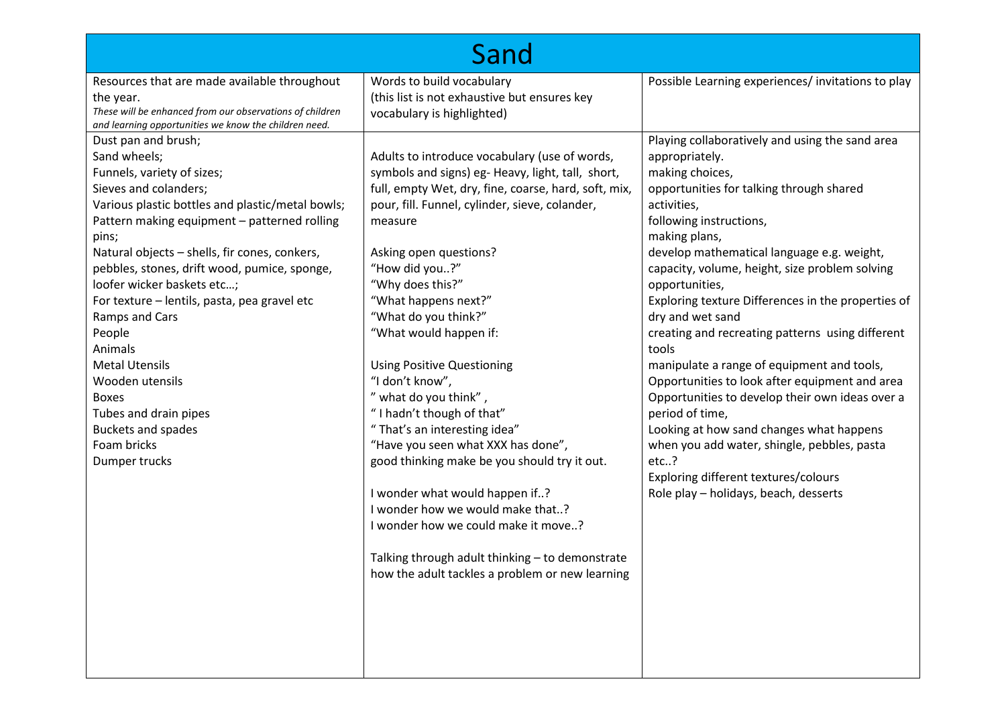|                                                                                                                                                                                                                                                                                                                                                                                                                                                                                                                                                                                 | Sand                                                                                                                                                                                                                                                                                                                                                                                                                                                                                                                                                                                                                                                                                                                                                                                                                     |                                                                                                                                                                                                                                                                                                                                                                                                                                                                                                                                                                                                                                                                                                                                                                                                                    |
|---------------------------------------------------------------------------------------------------------------------------------------------------------------------------------------------------------------------------------------------------------------------------------------------------------------------------------------------------------------------------------------------------------------------------------------------------------------------------------------------------------------------------------------------------------------------------------|--------------------------------------------------------------------------------------------------------------------------------------------------------------------------------------------------------------------------------------------------------------------------------------------------------------------------------------------------------------------------------------------------------------------------------------------------------------------------------------------------------------------------------------------------------------------------------------------------------------------------------------------------------------------------------------------------------------------------------------------------------------------------------------------------------------------------|--------------------------------------------------------------------------------------------------------------------------------------------------------------------------------------------------------------------------------------------------------------------------------------------------------------------------------------------------------------------------------------------------------------------------------------------------------------------------------------------------------------------------------------------------------------------------------------------------------------------------------------------------------------------------------------------------------------------------------------------------------------------------------------------------------------------|
| Resources that are made available throughout<br>the year.<br>These will be enhanced from our observations of children<br>and learning opportunities we know the children need.                                                                                                                                                                                                                                                                                                                                                                                                  | Words to build vocabulary<br>(this list is not exhaustive but ensures key<br>vocabulary is highlighted)                                                                                                                                                                                                                                                                                                                                                                                                                                                                                                                                                                                                                                                                                                                  | Possible Learning experiences/invitations to play                                                                                                                                                                                                                                                                                                                                                                                                                                                                                                                                                                                                                                                                                                                                                                  |
| Dust pan and brush;<br>Sand wheels;<br>Funnels, variety of sizes;<br>Sieves and colanders;<br>Various plastic bottles and plastic/metal bowls;<br>Pattern making equipment - patterned rolling<br>pins;<br>Natural objects - shells, fir cones, conkers,<br>pebbles, stones, drift wood, pumice, sponge,<br>loofer wicker baskets etc;<br>For texture - lentils, pasta, pea gravel etc<br>Ramps and Cars<br>People<br>Animals<br><b>Metal Utensils</b><br>Wooden utensils<br><b>Boxes</b><br>Tubes and drain pipes<br><b>Buckets and spades</b><br>Foam bricks<br>Dumper trucks | Adults to introduce vocabulary (use of words,<br>symbols and signs) eg- Heavy, light, tall, short,<br>full, empty Wet, dry, fine, coarse, hard, soft, mix,<br>pour, fill. Funnel, cylinder, sieve, colander,<br>measure<br>Asking open questions?<br>"How did you?"<br>"Why does this?"<br>"What happens next?"<br>"What do you think?"<br>"What would happen if:<br><b>Using Positive Questioning</b><br>"I don't know",<br>" what do you think",<br>"I hadn't though of that"<br>"That's an interesting idea"<br>"Have you seen what XXX has done",<br>good thinking make be you should try it out.<br>I wonder what would happen if?<br>I wonder how we would make that?<br>I wonder how we could make it move?<br>Talking through adult thinking - to demonstrate<br>how the adult tackles a problem or new learning | Playing collaboratively and using the sand area<br>appropriately.<br>making choices,<br>opportunities for talking through shared<br>activities,<br>following instructions,<br>making plans,<br>develop mathematical language e.g. weight,<br>capacity, volume, height, size problem solving<br>opportunities,<br>Exploring texture Differences in the properties of<br>dry and wet sand<br>creating and recreating patterns using different<br>tools<br>manipulate a range of equipment and tools,<br>Opportunities to look after equipment and area<br>Opportunities to develop their own ideas over a<br>period of time,<br>Looking at how sand changes what happens<br>when you add water, shingle, pebbles, pasta<br>$etc.$ ?<br>Exploring different textures/colours<br>Role play - holidays, beach, desserts |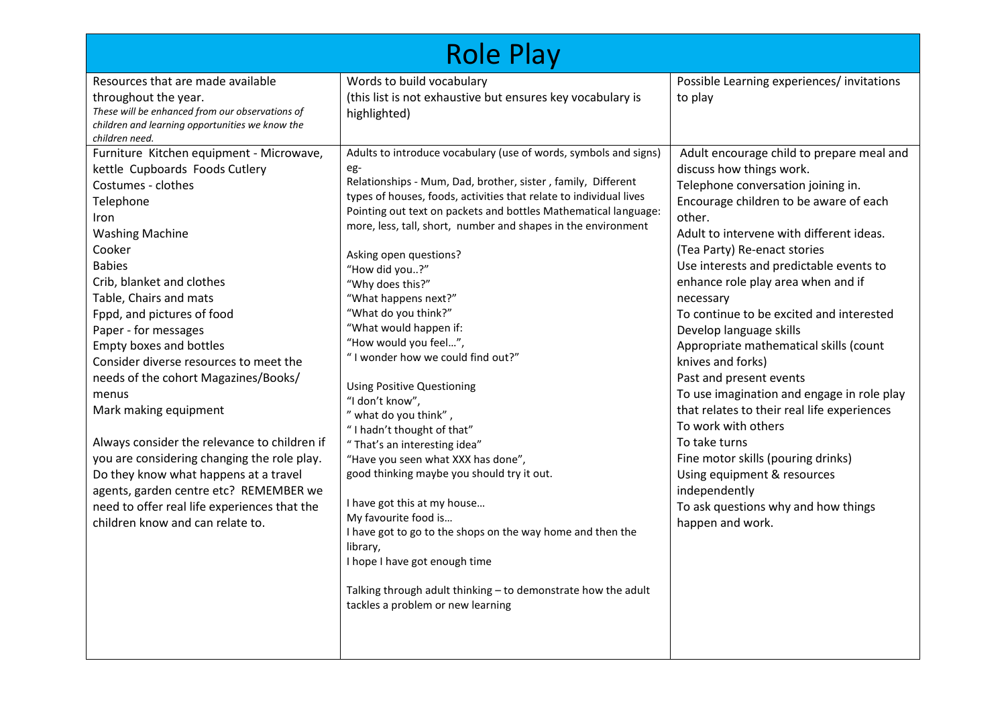|                                                                                                                                                                                                                                                                                                                                                                                                                                                                                                                                                                                                                                                                         | <b>Role Play</b>                                                                                                                                                                                                                                                                                                                                                                                                                                                                                                                                                                                                                                                                                                                                                                                                                                                                                                                                                                                 |                                                                                                                                                                                                                                                                                                                                                                                                                                                                                                                                                                                                                                                                                                                                                     |
|-------------------------------------------------------------------------------------------------------------------------------------------------------------------------------------------------------------------------------------------------------------------------------------------------------------------------------------------------------------------------------------------------------------------------------------------------------------------------------------------------------------------------------------------------------------------------------------------------------------------------------------------------------------------------|--------------------------------------------------------------------------------------------------------------------------------------------------------------------------------------------------------------------------------------------------------------------------------------------------------------------------------------------------------------------------------------------------------------------------------------------------------------------------------------------------------------------------------------------------------------------------------------------------------------------------------------------------------------------------------------------------------------------------------------------------------------------------------------------------------------------------------------------------------------------------------------------------------------------------------------------------------------------------------------------------|-----------------------------------------------------------------------------------------------------------------------------------------------------------------------------------------------------------------------------------------------------------------------------------------------------------------------------------------------------------------------------------------------------------------------------------------------------------------------------------------------------------------------------------------------------------------------------------------------------------------------------------------------------------------------------------------------------------------------------------------------------|
| Resources that are made available<br>throughout the year.<br>These will be enhanced from our observations of<br>children and learning opportunities we know the<br>children need.<br>Furniture Kitchen equipment - Microwave,                                                                                                                                                                                                                                                                                                                                                                                                                                           | Words to build vocabulary<br>(this list is not exhaustive but ensures key vocabulary is<br>highlighted)<br>Adults to introduce vocabulary (use of words, symbols and signs)                                                                                                                                                                                                                                                                                                                                                                                                                                                                                                                                                                                                                                                                                                                                                                                                                      | Possible Learning experiences/invitations<br>to play<br>Adult encourage child to prepare meal and                                                                                                                                                                                                                                                                                                                                                                                                                                                                                                                                                                                                                                                   |
| kettle Cupboards Foods Cutlery<br>Costumes - clothes<br>Telephone<br>Iron<br><b>Washing Machine</b><br>Cooker<br><b>Babies</b><br>Crib, blanket and clothes<br>Table, Chairs and mats<br>Fppd, and pictures of food<br>Paper - for messages<br><b>Empty boxes and bottles</b><br>Consider diverse resources to meet the<br>needs of the cohort Magazines/Books/<br>menus<br>Mark making equipment<br>Always consider the relevance to children if<br>you are considering changing the role play.<br>Do they know what happens at a travel<br>agents, garden centre etc? REMEMBER we<br>need to offer real life experiences that the<br>children know and can relate to. | eg-<br>Relationships - Mum, Dad, brother, sister, family, Different<br>types of houses, foods, activities that relate to individual lives<br>Pointing out text on packets and bottles Mathematical language:<br>more, less, tall, short, number and shapes in the environment<br>Asking open questions?<br>"How did you?"<br>"Why does this?"<br>"What happens next?"<br>"What do you think?"<br>"What would happen if:<br>"How would you feel",<br>"I wonder how we could find out?"<br><b>Using Positive Questioning</b><br>"I don't know",<br>" what do you think",<br>"I hadn't thought of that"<br>"That's an interesting idea"<br>"Have you seen what XXX has done",<br>good thinking maybe you should try it out.<br>I have got this at my house<br>My favourite food is<br>I have got to go to the shops on the way home and then the<br>library,<br>I hope I have got enough time<br>Talking through adult thinking - to demonstrate how the adult<br>tackles a problem or new learning | discuss how things work.<br>Telephone conversation joining in.<br>Encourage children to be aware of each<br>other.<br>Adult to intervene with different ideas.<br>(Tea Party) Re-enact stories<br>Use interests and predictable events to<br>enhance role play area when and if<br>necessary<br>To continue to be excited and interested<br>Develop language skills<br>Appropriate mathematical skills (count<br>knives and forks)<br>Past and present events<br>To use imagination and engage in role play<br>that relates to their real life experiences<br>To work with others<br>To take turns<br>Fine motor skills (pouring drinks)<br>Using equipment & resources<br>independently<br>To ask questions why and how things<br>happen and work. |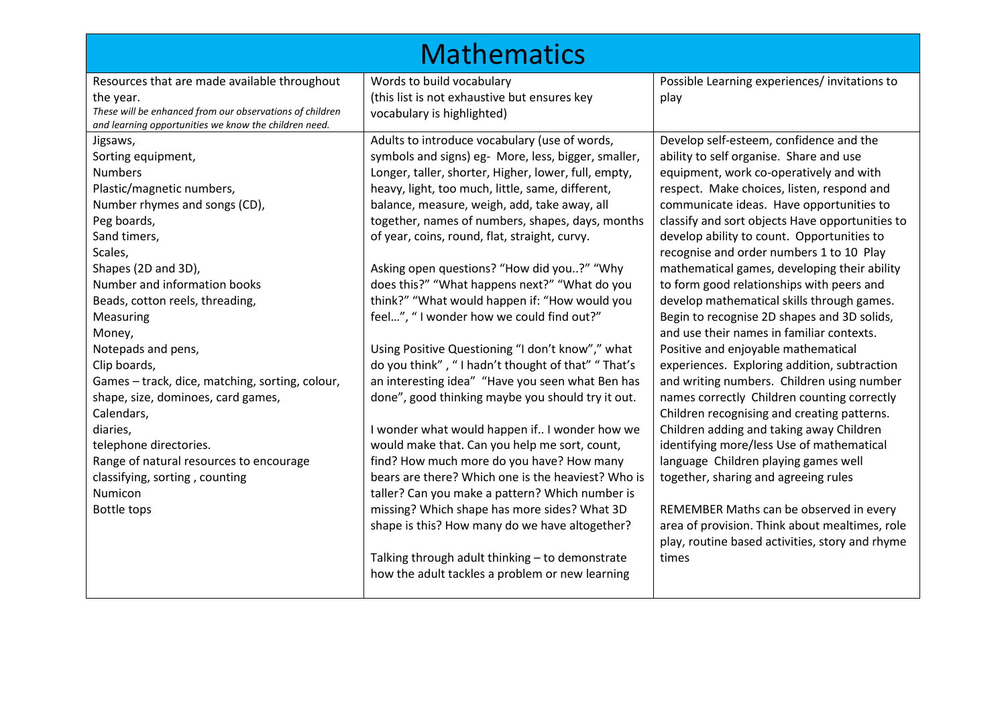|                                                                                                                                | <b>Mathematics</b>                                                         |                                                 |
|--------------------------------------------------------------------------------------------------------------------------------|----------------------------------------------------------------------------|-------------------------------------------------|
| Resources that are made available throughout                                                                                   | Words to build vocabulary                                                  | Possible Learning experiences/invitations to    |
| the year.<br>These will be enhanced from our observations of children<br>and learning opportunities we know the children need. | (this list is not exhaustive but ensures key<br>vocabulary is highlighted) | play                                            |
| Jigsaws,                                                                                                                       | Adults to introduce vocabulary (use of words,                              | Develop self-esteem, confidence and the         |
| Sorting equipment,                                                                                                             | symbols and signs) eg- More, less, bigger, smaller,                        | ability to self organise. Share and use         |
| <b>Numbers</b>                                                                                                                 | Longer, taller, shorter, Higher, lower, full, empty,                       | equipment, work co-operatively and with         |
| Plastic/magnetic numbers,                                                                                                      | heavy, light, too much, little, same, different,                           | respect. Make choices, listen, respond and      |
| Number rhymes and songs (CD),                                                                                                  | balance, measure, weigh, add, take away, all                               | communicate ideas. Have opportunities to        |
| Peg boards,                                                                                                                    | together, names of numbers, shapes, days, months                           | classify and sort objects Have opportunities to |
| Sand timers,                                                                                                                   | of year, coins, round, flat, straight, curvy.                              | develop ability to count. Opportunities to      |
| Scales,                                                                                                                        |                                                                            | recognise and order numbers 1 to 10 Play        |
| Shapes (2D and 3D),                                                                                                            | Asking open questions? "How did you?" "Why                                 | mathematical games, developing their ability    |
| Number and information books                                                                                                   | does this?" "What happens next?" "What do you                              | to form good relationships with peers and       |
| Beads, cotton reels, threading,                                                                                                | think?" "What would happen if: "How would you                              | develop mathematical skills through games.      |
| Measuring                                                                                                                      | feel", "I wonder how we could find out?"                                   | Begin to recognise 2D shapes and 3D solids,     |
| Money,                                                                                                                         |                                                                            | and use their names in familiar contexts.       |
| Notepads and pens,                                                                                                             | Using Positive Questioning "I don't know"," what                           | Positive and enjoyable mathematical             |
| Clip boards,                                                                                                                   | do you think", "I hadn't thought of that" "That's                          | experiences. Exploring addition, subtraction    |
| Games - track, dice, matching, sorting, colour,                                                                                | an interesting idea" "Have you seen what Ben has                           | and writing numbers. Children using number      |
| shape, size, dominoes, card games,                                                                                             | done", good thinking maybe you should try it out.                          | names correctly Children counting correctly     |
| Calendars,                                                                                                                     |                                                                            | Children recognising and creating patterns.     |
| diaries,                                                                                                                       | I wonder what would happen if I wonder how we                              | Children adding and taking away Children        |
| telephone directories.                                                                                                         | would make that. Can you help me sort, count,                              | identifying more/less Use of mathematical       |
| Range of natural resources to encourage                                                                                        | find? How much more do you have? How many                                  | language Children playing games well            |
| classifying, sorting, counting                                                                                                 | bears are there? Which one is the heaviest? Who is                         | together, sharing and agreeing rules            |
| Numicon                                                                                                                        | taller? Can you make a pattern? Which number is                            |                                                 |
| Bottle tops                                                                                                                    | missing? Which shape has more sides? What 3D                               | REMEMBER Maths can be observed in every         |
|                                                                                                                                | shape is this? How many do we have altogether?                             | area of provision. Think about mealtimes, role  |
|                                                                                                                                |                                                                            | play, routine based activities, story and rhyme |
|                                                                                                                                | Talking through adult thinking - to demonstrate                            | times                                           |
|                                                                                                                                | how the adult tackles a problem or new learning                            |                                                 |
|                                                                                                                                |                                                                            |                                                 |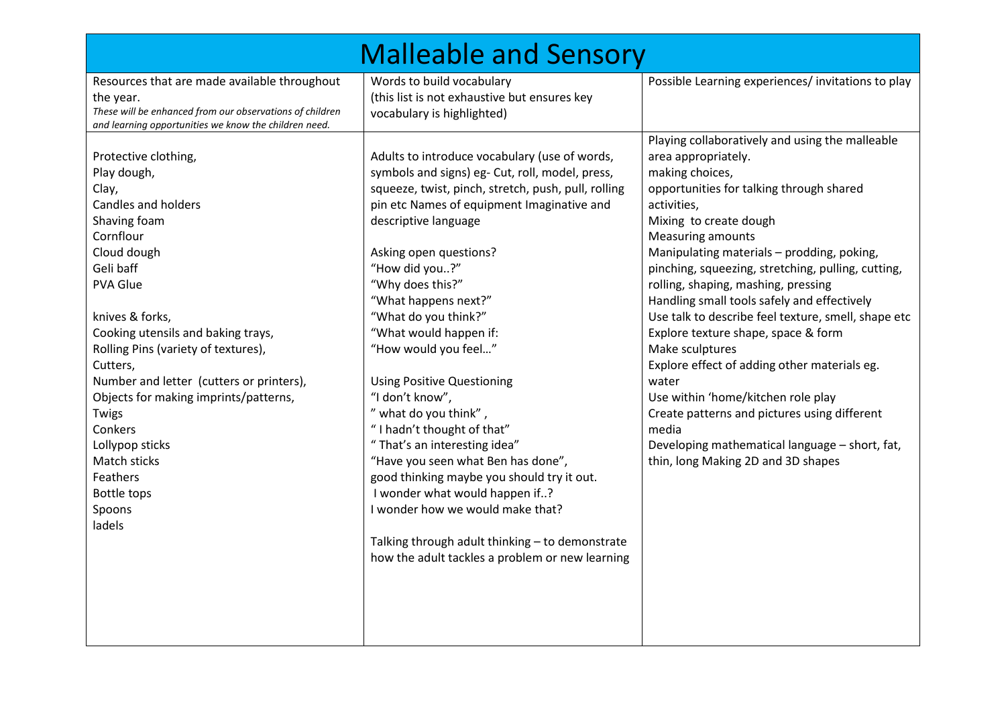|                                                                                                                                                                                                                                                                                                                                                                                                                                                               | <b>Malleable and Sensory</b>                                                                                                                                                                                                                                                                                                                                                                                                                                                                                                                                                                                                                                                                                                                                                                                   |                                                                                                                                                                                                                                                                                                                                                                                                                                                                                                                                                                                                                                                                                                                                                                       |
|---------------------------------------------------------------------------------------------------------------------------------------------------------------------------------------------------------------------------------------------------------------------------------------------------------------------------------------------------------------------------------------------------------------------------------------------------------------|----------------------------------------------------------------------------------------------------------------------------------------------------------------------------------------------------------------------------------------------------------------------------------------------------------------------------------------------------------------------------------------------------------------------------------------------------------------------------------------------------------------------------------------------------------------------------------------------------------------------------------------------------------------------------------------------------------------------------------------------------------------------------------------------------------------|-----------------------------------------------------------------------------------------------------------------------------------------------------------------------------------------------------------------------------------------------------------------------------------------------------------------------------------------------------------------------------------------------------------------------------------------------------------------------------------------------------------------------------------------------------------------------------------------------------------------------------------------------------------------------------------------------------------------------------------------------------------------------|
| Resources that are made available throughout<br>the year.<br>These will be enhanced from our observations of children<br>and learning opportunities we know the children need.                                                                                                                                                                                                                                                                                | Words to build vocabulary<br>(this list is not exhaustive but ensures key<br>vocabulary is highlighted)                                                                                                                                                                                                                                                                                                                                                                                                                                                                                                                                                                                                                                                                                                        | Possible Learning experiences/invitations to play                                                                                                                                                                                                                                                                                                                                                                                                                                                                                                                                                                                                                                                                                                                     |
| Protective clothing,<br>Play dough,<br>Clay,<br><b>Candles and holders</b><br>Shaving foam<br>Cornflour<br>Cloud dough<br>Geli baff<br><b>PVA Glue</b><br>knives & forks,<br>Cooking utensils and baking trays,<br>Rolling Pins (variety of textures),<br>Cutters,<br>Number and letter (cutters or printers),<br>Objects for making imprints/patterns,<br>Twigs<br>Conkers<br>Lollypop sticks<br>Match sticks<br>Feathers<br>Bottle tops<br>Spoons<br>ladels | Adults to introduce vocabulary (use of words,<br>symbols and signs) eg- Cut, roll, model, press,<br>squeeze, twist, pinch, stretch, push, pull, rolling<br>pin etc Names of equipment Imaginative and<br>descriptive language<br>Asking open questions?<br>"How did you?"<br>"Why does this?"<br>"What happens next?"<br>"What do you think?"<br>"What would happen if:<br>"How would you feel"<br><b>Using Positive Questioning</b><br>"I don't know",<br>" what do you think",<br>"I hadn't thought of that"<br>"That's an interesting idea"<br>"Have you seen what Ben has done",<br>good thinking maybe you should try it out.<br>I wonder what would happen if?<br>I wonder how we would make that?<br>Talking through adult thinking - to demonstrate<br>how the adult tackles a problem or new learning | Playing collaboratively and using the malleable<br>area appropriately.<br>making choices,<br>opportunities for talking through shared<br>activities,<br>Mixing to create dough<br><b>Measuring amounts</b><br>Manipulating materials - prodding, poking,<br>pinching, squeezing, stretching, pulling, cutting,<br>rolling, shaping, mashing, pressing<br>Handling small tools safely and effectively<br>Use talk to describe feel texture, smell, shape etc<br>Explore texture shape, space & form<br>Make sculptures<br>Explore effect of adding other materials eg.<br>water<br>Use within 'home/kitchen role play<br>Create patterns and pictures using different<br>media<br>Developing mathematical language - short, fat,<br>thin, long Making 2D and 3D shapes |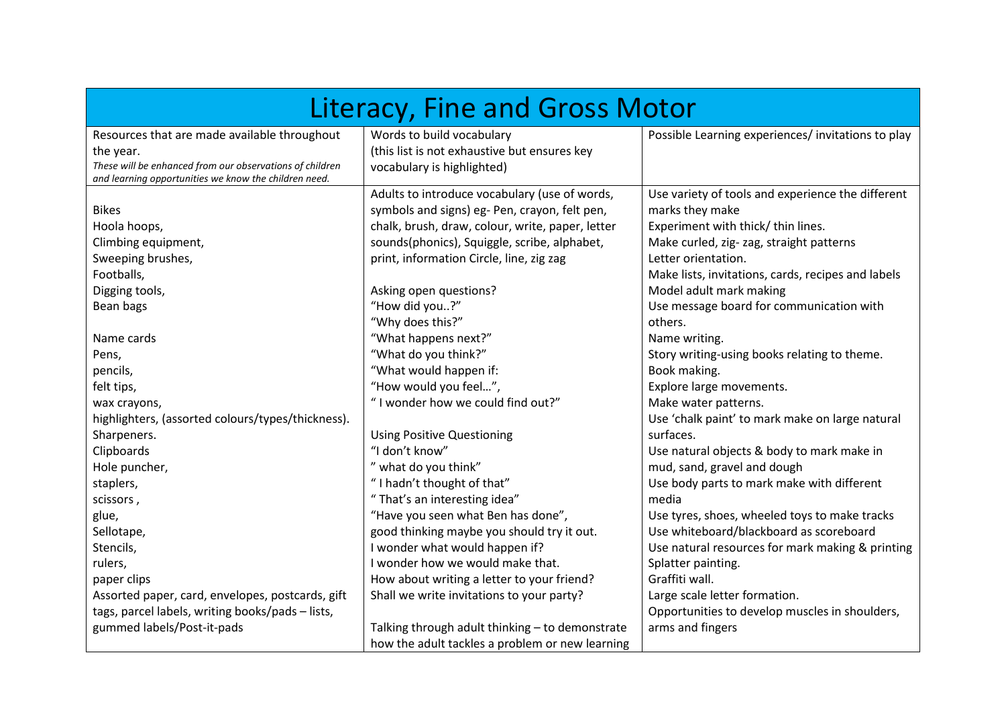| Literacy, Fine and Gross Motor                                                                                    |                                                  |                                                    |  |  |
|-------------------------------------------------------------------------------------------------------------------|--------------------------------------------------|----------------------------------------------------|--|--|
| Resources that are made available throughout                                                                      | Words to build vocabulary                        | Possible Learning experiences/ invitations to play |  |  |
| the year.                                                                                                         | (this list is not exhaustive but ensures key     |                                                    |  |  |
| These will be enhanced from our observations of children<br>and learning opportunities we know the children need. | vocabulary is highlighted)                       |                                                    |  |  |
|                                                                                                                   | Adults to introduce vocabulary (use of words,    | Use variety of tools and experience the different  |  |  |
| <b>Bikes</b>                                                                                                      | symbols and signs) eg- Pen, crayon, felt pen,    | marks they make                                    |  |  |
| Hoola hoops,                                                                                                      | chalk, brush, draw, colour, write, paper, letter | Experiment with thick/ thin lines.                 |  |  |
| Climbing equipment,                                                                                               | sounds(phonics), Squiggle, scribe, alphabet,     | Make curled, zig- zag, straight patterns           |  |  |
| Sweeping brushes,                                                                                                 | print, information Circle, line, zig zag         | Letter orientation.                                |  |  |
| Footballs,                                                                                                        |                                                  | Make lists, invitations, cards, recipes and labels |  |  |
| Digging tools,                                                                                                    | Asking open questions?                           | Model adult mark making                            |  |  |
| Bean bags                                                                                                         | "How did you?"                                   | Use message board for communication with           |  |  |
|                                                                                                                   | "Why does this?"                                 | others.                                            |  |  |
| Name cards                                                                                                        | "What happens next?"                             | Name writing.                                      |  |  |
| Pens,                                                                                                             | "What do you think?"                             | Story writing-using books relating to theme.       |  |  |
| pencils,                                                                                                          | "What would happen if:                           | Book making.                                       |  |  |
| felt tips,                                                                                                        | "How would you feel",                            | Explore large movements.                           |  |  |
| wax crayons,                                                                                                      | "I wonder how we could find out?"                | Make water patterns.                               |  |  |
| highlighters, (assorted colours/types/thickness).                                                                 |                                                  | Use 'chalk paint' to mark make on large natural    |  |  |
| Sharpeners.                                                                                                       | <b>Using Positive Questioning</b>                | surfaces.                                          |  |  |
| Clipboards                                                                                                        | "I don't know"                                   | Use natural objects & body to mark make in         |  |  |
| Hole puncher,                                                                                                     | " what do you think"                             | mud, sand, gravel and dough                        |  |  |
| staplers,                                                                                                         | "I hadn't thought of that"                       | Use body parts to mark make with different         |  |  |
| scissors,                                                                                                         | "That's an interesting idea"                     | media                                              |  |  |
| glue,                                                                                                             | "Have you seen what Ben has done",               | Use tyres, shoes, wheeled toys to make tracks      |  |  |
| Sellotape,                                                                                                        | good thinking maybe you should try it out.       | Use whiteboard/blackboard as scoreboard            |  |  |
| Stencils,                                                                                                         | I wonder what would happen if?                   | Use natural resources for mark making & printing   |  |  |
| rulers,                                                                                                           | I wonder how we would make that.                 | Splatter painting.                                 |  |  |
| paper clips                                                                                                       | How about writing a letter to your friend?       | Graffiti wall.                                     |  |  |
| Assorted paper, card, envelopes, postcards, gift                                                                  | Shall we write invitations to your party?        | Large scale letter formation.                      |  |  |
| tags, parcel labels, writing books/pads - lists,                                                                  |                                                  | Opportunities to develop muscles in shoulders,     |  |  |
| gummed labels/Post-it-pads                                                                                        | Talking through adult thinking - to demonstrate  | arms and fingers                                   |  |  |
|                                                                                                                   | how the adult tackles a problem or new learning  |                                                    |  |  |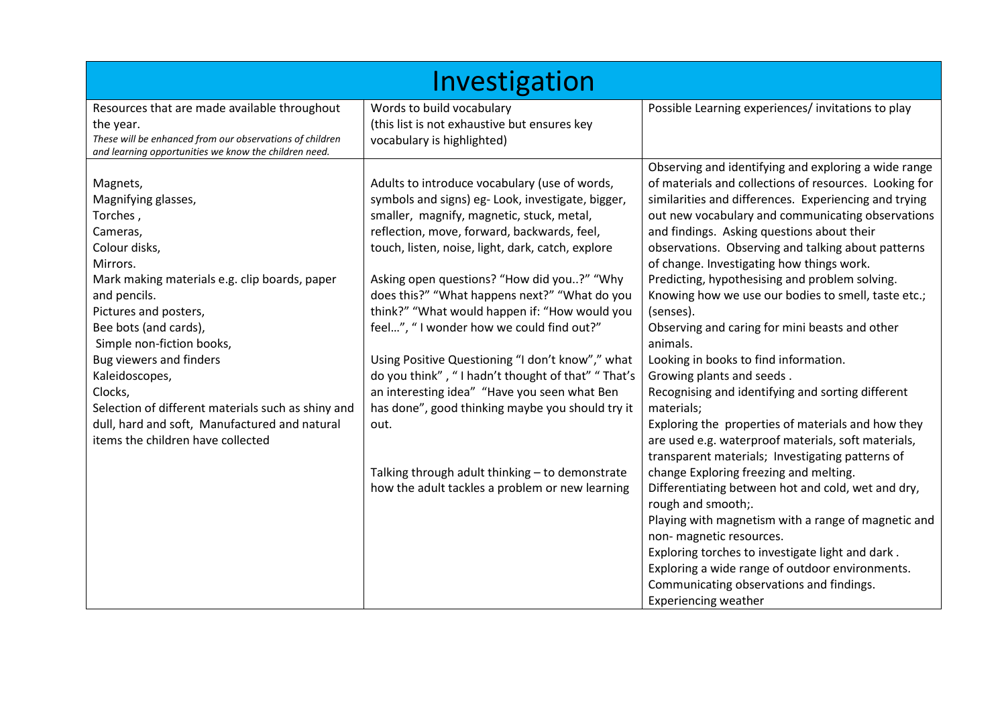|                                                                                                                                                                                                                                                                                                                                                                                                                                          | Investigation                                                                                                                                                                                                                                                                                                                                                                                                                                                                                                                                                                                                                                                                                                                                                              |                                                                                                                                                                                                                                                                                                                                                                                                                                                                                                                                                                                                                                                                                                                                                                                                                                                                                                                                                                                                                                                                                                                                                                                                                                                                       |
|------------------------------------------------------------------------------------------------------------------------------------------------------------------------------------------------------------------------------------------------------------------------------------------------------------------------------------------------------------------------------------------------------------------------------------------|----------------------------------------------------------------------------------------------------------------------------------------------------------------------------------------------------------------------------------------------------------------------------------------------------------------------------------------------------------------------------------------------------------------------------------------------------------------------------------------------------------------------------------------------------------------------------------------------------------------------------------------------------------------------------------------------------------------------------------------------------------------------------|-----------------------------------------------------------------------------------------------------------------------------------------------------------------------------------------------------------------------------------------------------------------------------------------------------------------------------------------------------------------------------------------------------------------------------------------------------------------------------------------------------------------------------------------------------------------------------------------------------------------------------------------------------------------------------------------------------------------------------------------------------------------------------------------------------------------------------------------------------------------------------------------------------------------------------------------------------------------------------------------------------------------------------------------------------------------------------------------------------------------------------------------------------------------------------------------------------------------------------------------------------------------------|
| Resources that are made available throughout<br>the year.<br>These will be enhanced from our observations of children<br>and learning opportunities we know the children need.                                                                                                                                                                                                                                                           | Words to build vocabulary<br>(this list is not exhaustive but ensures key<br>vocabulary is highlighted)                                                                                                                                                                                                                                                                                                                                                                                                                                                                                                                                                                                                                                                                    | Possible Learning experiences/invitations to play                                                                                                                                                                                                                                                                                                                                                                                                                                                                                                                                                                                                                                                                                                                                                                                                                                                                                                                                                                                                                                                                                                                                                                                                                     |
| Magnets,<br>Magnifying glasses,<br>Torches,<br>Cameras,<br>Colour disks,<br>Mirrors.<br>Mark making materials e.g. clip boards, paper<br>and pencils.<br>Pictures and posters,<br>Bee bots (and cards),<br>Simple non-fiction books,<br>Bug viewers and finders<br>Kaleidoscopes,<br>Clocks,<br>Selection of different materials such as shiny and<br>dull, hard and soft, Manufactured and natural<br>items the children have collected | Adults to introduce vocabulary (use of words,<br>symbols and signs) eg- Look, investigate, bigger,<br>smaller, magnify, magnetic, stuck, metal,<br>reflection, move, forward, backwards, feel,<br>touch, listen, noise, light, dark, catch, explore<br>Asking open questions? "How did you?" "Why<br>does this?" "What happens next?" "What do you<br>think?" "What would happen if: "How would you<br>feel", "I wonder how we could find out?"<br>Using Positive Questioning "I don't know"," what<br>do you think", "I hadn't thought of that" "That's<br>an interesting idea" "Have you seen what Ben<br>has done", good thinking maybe you should try it<br>out.<br>Talking through adult thinking - to demonstrate<br>how the adult tackles a problem or new learning | Observing and identifying and exploring a wide range<br>of materials and collections of resources. Looking for<br>similarities and differences. Experiencing and trying<br>out new vocabulary and communicating observations<br>and findings. Asking questions about their<br>observations. Observing and talking about patterns<br>of change. Investigating how things work.<br>Predicting, hypothesising and problem solving.<br>Knowing how we use our bodies to smell, taste etc.;<br>(senses).<br>Observing and caring for mini beasts and other<br>animals.<br>Looking in books to find information.<br>Growing plants and seeds.<br>Recognising and identifying and sorting different<br>materials;<br>Exploring the properties of materials and how they<br>are used e.g. waterproof materials, soft materials,<br>transparent materials; Investigating patterns of<br>change Exploring freezing and melting.<br>Differentiating between hot and cold, wet and dry,<br>rough and smooth;.<br>Playing with magnetism with a range of magnetic and<br>non-magnetic resources.<br>Exploring torches to investigate light and dark.<br>Exploring a wide range of outdoor environments.<br>Communicating observations and findings.<br><b>Experiencing weather</b> |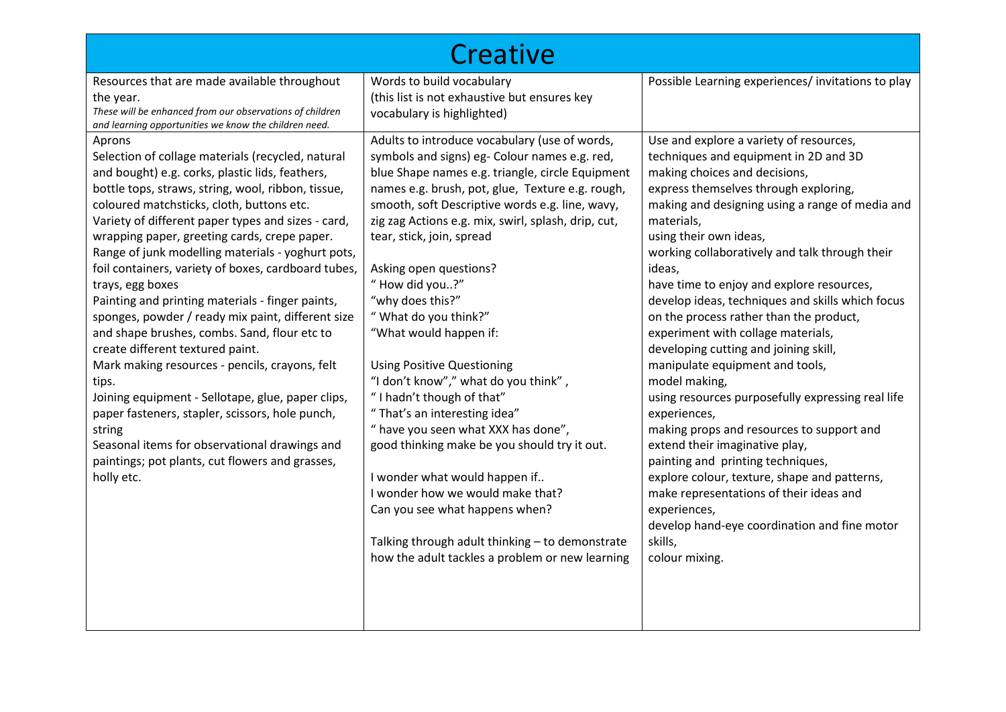|                                                                                                                                                                                                                                                                                                                                                                                                                                                                                                                                                                                                                                                                                                                                                                                                                                                                                                                                                     | Creative                                                                                                                                                                                                                                                                                                                                                                                                                                                                                                                                                                                                                                                                                                                                                                                                                                                                                                      |                                                                                                                                                                                                                                                                                                                                                                                                                                                                                                                                                                                                                                                                                                                                                                                                                                                                                                                                                                                   |
|-----------------------------------------------------------------------------------------------------------------------------------------------------------------------------------------------------------------------------------------------------------------------------------------------------------------------------------------------------------------------------------------------------------------------------------------------------------------------------------------------------------------------------------------------------------------------------------------------------------------------------------------------------------------------------------------------------------------------------------------------------------------------------------------------------------------------------------------------------------------------------------------------------------------------------------------------------|---------------------------------------------------------------------------------------------------------------------------------------------------------------------------------------------------------------------------------------------------------------------------------------------------------------------------------------------------------------------------------------------------------------------------------------------------------------------------------------------------------------------------------------------------------------------------------------------------------------------------------------------------------------------------------------------------------------------------------------------------------------------------------------------------------------------------------------------------------------------------------------------------------------|-----------------------------------------------------------------------------------------------------------------------------------------------------------------------------------------------------------------------------------------------------------------------------------------------------------------------------------------------------------------------------------------------------------------------------------------------------------------------------------------------------------------------------------------------------------------------------------------------------------------------------------------------------------------------------------------------------------------------------------------------------------------------------------------------------------------------------------------------------------------------------------------------------------------------------------------------------------------------------------|
| Resources that are made available throughout<br>the year.<br>These will be enhanced from our observations of children<br>and learning opportunities we know the children need.                                                                                                                                                                                                                                                                                                                                                                                                                                                                                                                                                                                                                                                                                                                                                                      | Words to build vocabulary<br>(this list is not exhaustive but ensures key<br>vocabulary is highlighted)                                                                                                                                                                                                                                                                                                                                                                                                                                                                                                                                                                                                                                                                                                                                                                                                       | Possible Learning experiences/ invitations to play                                                                                                                                                                                                                                                                                                                                                                                                                                                                                                                                                                                                                                                                                                                                                                                                                                                                                                                                |
| Aprons<br>Selection of collage materials (recycled, natural<br>and bought) e.g. corks, plastic lids, feathers,<br>bottle tops, straws, string, wool, ribbon, tissue,<br>coloured matchsticks, cloth, buttons etc.<br>Variety of different paper types and sizes - card,<br>wrapping paper, greeting cards, crepe paper.<br>Range of junk modelling materials - yoghurt pots,<br>foil containers, variety of boxes, cardboard tubes,<br>trays, egg boxes<br>Painting and printing materials - finger paints,<br>sponges, powder / ready mix paint, different size<br>and shape brushes, combs. Sand, flour etc to<br>create different textured paint.<br>Mark making resources - pencils, crayons, felt<br>tips.<br>Joining equipment - Sellotape, glue, paper clips,<br>paper fasteners, stapler, scissors, hole punch,<br>string<br>Seasonal items for observational drawings and<br>paintings; pot plants, cut flowers and grasses,<br>holly etc. | Adults to introduce vocabulary (use of words,<br>symbols and signs) eg- Colour names e.g. red,<br>blue Shape names e.g. triangle, circle Equipment<br>names e.g. brush, pot, glue, Texture e.g. rough,<br>smooth, soft Descriptive words e.g. line, wavy,<br>zig zag Actions e.g. mix, swirl, splash, drip, cut,<br>tear, stick, join, spread<br>Asking open questions?<br>"How did you?"<br>"why does this?"<br>"What do you think?"<br>"What would happen if:<br><b>Using Positive Questioning</b><br>"I don't know"," what do you think",<br>"I hadn't though of that"<br>"That's an interesting idea"<br>" have you seen what XXX has done",<br>good thinking make be you should try it out.<br>I wonder what would happen if<br>I wonder how we would make that?<br>Can you see what happens when?<br>Talking through adult thinking - to demonstrate<br>how the adult tackles a problem or new learning | Use and explore a variety of resources,<br>techniques and equipment in 2D and 3D<br>making choices and decisions,<br>express themselves through exploring,<br>making and designing using a range of media and<br>materials,<br>using their own ideas,<br>working collaboratively and talk through their<br>ideas,<br>have time to enjoy and explore resources,<br>develop ideas, techniques and skills which focus<br>on the process rather than the product,<br>experiment with collage materials,<br>developing cutting and joining skill,<br>manipulate equipment and tools,<br>model making,<br>using resources purposefully expressing real life<br>experiences,<br>making props and resources to support and<br>extend their imaginative play,<br>painting and printing techniques,<br>explore colour, texture, shape and patterns,<br>make representations of their ideas and<br>experiences,<br>develop hand-eye coordination and fine motor<br>skills,<br>colour mixing. |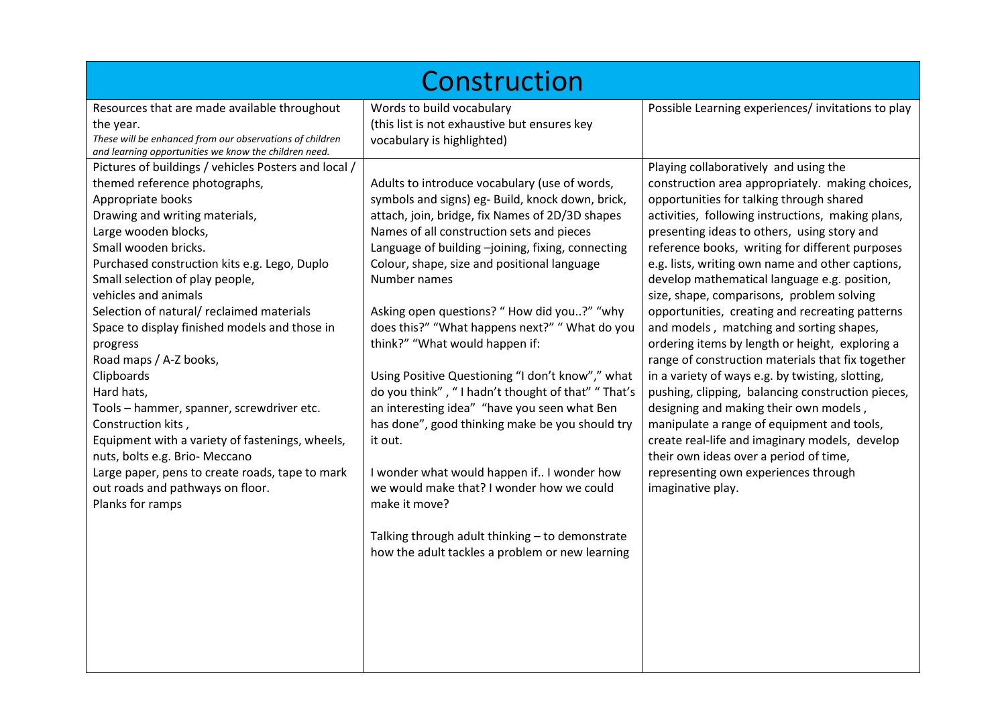| Construction                                                                                                                                                                                                                                                                                                                                                                                                                                                                                                                                                                                                                                                                                                                              |                                                                                                                                                                                                                                                                                                                                                                                                                                                                                                                                                                                                                                                                                                                                                                                                                                                                                                 |                                                                                                                                                                                                                                                                                                                                                                                                                                                                                                                                                                                                                                                                                                                                                                                                                                                                                                                                                                                                                |  |  |
|-------------------------------------------------------------------------------------------------------------------------------------------------------------------------------------------------------------------------------------------------------------------------------------------------------------------------------------------------------------------------------------------------------------------------------------------------------------------------------------------------------------------------------------------------------------------------------------------------------------------------------------------------------------------------------------------------------------------------------------------|-------------------------------------------------------------------------------------------------------------------------------------------------------------------------------------------------------------------------------------------------------------------------------------------------------------------------------------------------------------------------------------------------------------------------------------------------------------------------------------------------------------------------------------------------------------------------------------------------------------------------------------------------------------------------------------------------------------------------------------------------------------------------------------------------------------------------------------------------------------------------------------------------|----------------------------------------------------------------------------------------------------------------------------------------------------------------------------------------------------------------------------------------------------------------------------------------------------------------------------------------------------------------------------------------------------------------------------------------------------------------------------------------------------------------------------------------------------------------------------------------------------------------------------------------------------------------------------------------------------------------------------------------------------------------------------------------------------------------------------------------------------------------------------------------------------------------------------------------------------------------------------------------------------------------|--|--|
| Resources that are made available throughout<br>the year.<br>These will be enhanced from our observations of children<br>and learning opportunities we know the children need.                                                                                                                                                                                                                                                                                                                                                                                                                                                                                                                                                            | Words to build vocabulary<br>(this list is not exhaustive but ensures key<br>vocabulary is highlighted)                                                                                                                                                                                                                                                                                                                                                                                                                                                                                                                                                                                                                                                                                                                                                                                         | Possible Learning experiences/ invitations to play                                                                                                                                                                                                                                                                                                                                                                                                                                                                                                                                                                                                                                                                                                                                                                                                                                                                                                                                                             |  |  |
| Pictures of buildings / vehicles Posters and local /<br>themed reference photographs,<br>Appropriate books<br>Drawing and writing materials,<br>Large wooden blocks,<br>Small wooden bricks.<br>Purchased construction kits e.g. Lego, Duplo<br>Small selection of play people,<br>vehicles and animals<br>Selection of natural/reclaimed materials<br>Space to display finished models and those in<br>progress<br>Road maps / A-Z books,<br>Clipboards<br>Hard hats,<br>Tools - hammer, spanner, screwdriver etc.<br>Construction kits,<br>Equipment with a variety of fastenings, wheels,<br>nuts, bolts e.g. Brio- Meccano<br>Large paper, pens to create roads, tape to mark<br>out roads and pathways on floor.<br>Planks for ramps | Adults to introduce vocabulary (use of words,<br>symbols and signs) eg- Build, knock down, brick,<br>attach, join, bridge, fix Names of 2D/3D shapes<br>Names of all construction sets and pieces<br>Language of building -joining, fixing, connecting<br>Colour, shape, size and positional language<br>Number names<br>Asking open questions? "How did you?" "why<br>does this?" "What happens next?" "What do you<br>think?" "What would happen if:<br>Using Positive Questioning "I don't know"," what<br>do you think", "I hadn't thought of that" "That's<br>an interesting idea" "have you seen what Ben<br>has done", good thinking make be you should try<br>it out.<br>I wonder what would happen if I wonder how<br>we would make that? I wonder how we could<br>make it move?<br>Talking through adult thinking - to demonstrate<br>how the adult tackles a problem or new learning | Playing collaboratively and using the<br>construction area appropriately. making choices,<br>opportunities for talking through shared<br>activities, following instructions, making plans,<br>presenting ideas to others, using story and<br>reference books, writing for different purposes<br>e.g. lists, writing own name and other captions,<br>develop mathematical language e.g. position,<br>size, shape, comparisons, problem solving<br>opportunities, creating and recreating patterns<br>and models, matching and sorting shapes,<br>ordering items by length or height, exploring a<br>range of construction materials that fix together<br>in a variety of ways e.g. by twisting, slotting,<br>pushing, clipping, balancing construction pieces,<br>designing and making their own models,<br>manipulate a range of equipment and tools,<br>create real-life and imaginary models, develop<br>their own ideas over a period of time,<br>representing own experiences through<br>imaginative play. |  |  |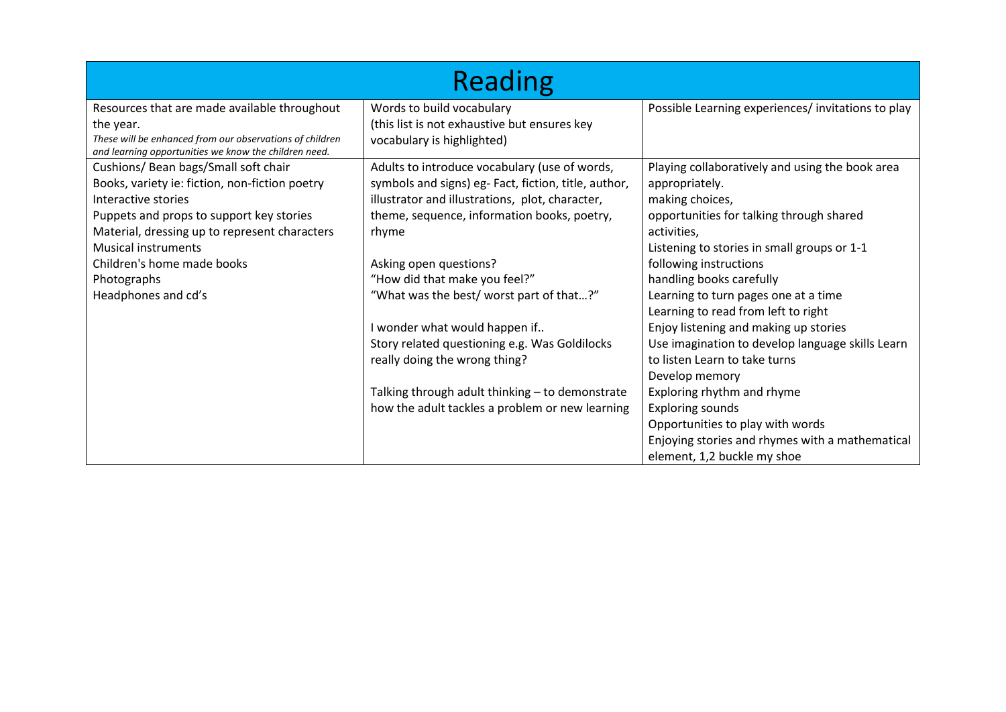| <b>Reading</b>                                                                                                    |                                                      |                                                   |  |  |
|-------------------------------------------------------------------------------------------------------------------|------------------------------------------------------|---------------------------------------------------|--|--|
| Resources that are made available throughout                                                                      | Words to build vocabulary                            | Possible Learning experiences/invitations to play |  |  |
| the year.                                                                                                         | (this list is not exhaustive but ensures key         |                                                   |  |  |
| These will be enhanced from our observations of children<br>and learning opportunities we know the children need. | vocabulary is highlighted)                           |                                                   |  |  |
| Cushions/ Bean bags/Small soft chair                                                                              | Adults to introduce vocabulary (use of words,        | Playing collaboratively and using the book area   |  |  |
| Books, variety ie: fiction, non-fiction poetry                                                                    | symbols and signs) eg- Fact, fiction, title, author, | appropriately.                                    |  |  |
| Interactive stories                                                                                               | illustrator and illustrations, plot, character,      | making choices,                                   |  |  |
| Puppets and props to support key stories                                                                          | theme, sequence, information books, poetry,          | opportunities for talking through shared          |  |  |
| Material, dressing up to represent characters                                                                     | rhyme                                                | activities,                                       |  |  |
| <b>Musical instruments</b>                                                                                        |                                                      | Listening to stories in small groups or 1-1       |  |  |
| Children's home made books                                                                                        | Asking open questions?                               | following instructions                            |  |  |
| Photographs                                                                                                       | "How did that make you feel?"                        | handling books carefully                          |  |  |
| Headphones and cd's                                                                                               | "What was the best/ worst part of that?"             | Learning to turn pages one at a time              |  |  |
|                                                                                                                   |                                                      | Learning to read from left to right               |  |  |
|                                                                                                                   | I wonder what would happen if                        | Enjoy listening and making up stories             |  |  |
|                                                                                                                   | Story related questioning e.g. Was Goldilocks        | Use imagination to develop language skills Learn  |  |  |
|                                                                                                                   | really doing the wrong thing?                        | to listen Learn to take turns                     |  |  |
|                                                                                                                   |                                                      | Develop memory                                    |  |  |
|                                                                                                                   | Talking through adult thinking - to demonstrate      | Exploring rhythm and rhyme                        |  |  |
|                                                                                                                   | how the adult tackles a problem or new learning      | <b>Exploring sounds</b>                           |  |  |
|                                                                                                                   |                                                      | Opportunities to play with words                  |  |  |
|                                                                                                                   |                                                      | Enjoying stories and rhymes with a mathematical   |  |  |
|                                                                                                                   |                                                      | element, 1,2 buckle my shoe                       |  |  |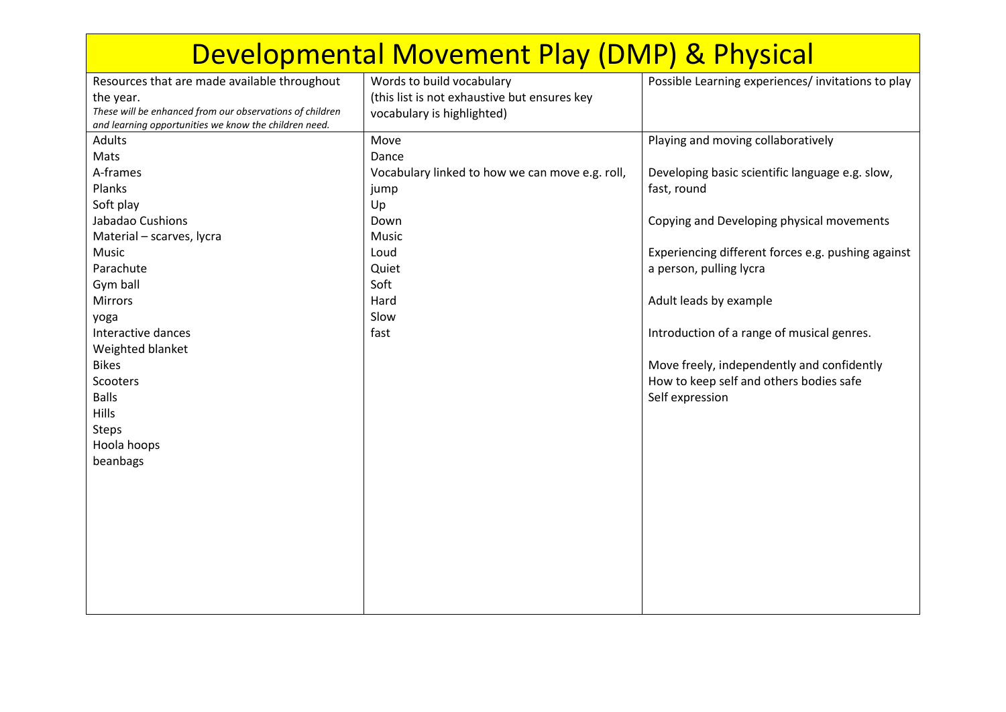| Developmental Movement Play (DMP) & Physical                                                                      |                                                 |                                                    |  |  |
|-------------------------------------------------------------------------------------------------------------------|-------------------------------------------------|----------------------------------------------------|--|--|
| Resources that are made available throughout                                                                      | Words to build vocabulary                       | Possible Learning experiences/invitations to play  |  |  |
| the year.                                                                                                         | (this list is not exhaustive but ensures key    |                                                    |  |  |
| These will be enhanced from our observations of children<br>and learning opportunities we know the children need. | vocabulary is highlighted)                      |                                                    |  |  |
| <b>Adults</b>                                                                                                     | Move                                            | Playing and moving collaboratively                 |  |  |
| Mats                                                                                                              | Dance                                           |                                                    |  |  |
| A-frames                                                                                                          | Vocabulary linked to how we can move e.g. roll, | Developing basic scientific language e.g. slow,    |  |  |
| Planks                                                                                                            | jump                                            | fast, round                                        |  |  |
| Soft play                                                                                                         | Up                                              |                                                    |  |  |
| Jabadao Cushions                                                                                                  | Down                                            | Copying and Developing physical movements          |  |  |
| Material - scarves, lycra                                                                                         | Music                                           |                                                    |  |  |
| Music                                                                                                             | Loud                                            | Experiencing different forces e.g. pushing against |  |  |
| Parachute                                                                                                         | Quiet                                           | a person, pulling lycra                            |  |  |
| Gym ball                                                                                                          | Soft                                            |                                                    |  |  |
| Mirrors                                                                                                           | Hard                                            | Adult leads by example                             |  |  |
| yoga                                                                                                              | Slow                                            |                                                    |  |  |
| Interactive dances                                                                                                | fast                                            | Introduction of a range of musical genres.         |  |  |
| Weighted blanket                                                                                                  |                                                 |                                                    |  |  |
| <b>Bikes</b>                                                                                                      |                                                 | Move freely, independently and confidently         |  |  |
| Scooters                                                                                                          |                                                 | How to keep self and others bodies safe            |  |  |
| <b>Balls</b>                                                                                                      |                                                 | Self expression                                    |  |  |
| Hills                                                                                                             |                                                 |                                                    |  |  |
| <b>Steps</b>                                                                                                      |                                                 |                                                    |  |  |
| Hoola hoops                                                                                                       |                                                 |                                                    |  |  |
| beanbags                                                                                                          |                                                 |                                                    |  |  |
|                                                                                                                   |                                                 |                                                    |  |  |
|                                                                                                                   |                                                 |                                                    |  |  |
|                                                                                                                   |                                                 |                                                    |  |  |
|                                                                                                                   |                                                 |                                                    |  |  |
|                                                                                                                   |                                                 |                                                    |  |  |
|                                                                                                                   |                                                 |                                                    |  |  |
|                                                                                                                   |                                                 |                                                    |  |  |
|                                                                                                                   |                                                 |                                                    |  |  |
|                                                                                                                   |                                                 |                                                    |  |  |